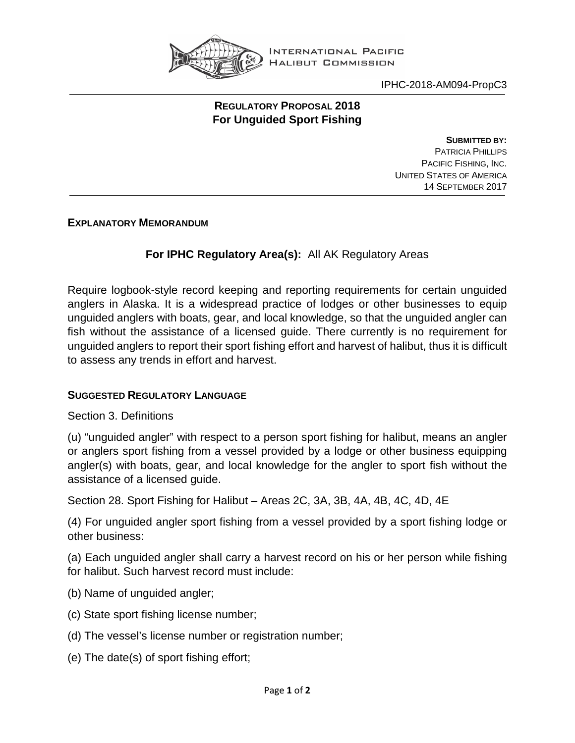

INTERNATIONAL PACIFIC **HALIBUT COMMISSION** 

IPHC-2018-AM094-PropC3

## **REGULATORY PROPOSAL 2018 For Unguided Sport Fishing**

**SUBMITTED BY:** PATRICIA PHILLIPS PACIFIC FISHING, INC. UNITED STATES OF AMERICA 14 SEPTEMBER 2017

**EXPLANATORY MEMORANDUM**

## **For IPHC Regulatory Area(s):** All AK Regulatory Areas

Require logbook-style record keeping and reporting requirements for certain unguided anglers in Alaska. It is a widespread practice of lodges or other businesses to equip unguided anglers with boats, gear, and local knowledge, so that the unguided angler can fish without the assistance of a licensed guide. There currently is no requirement for unguided anglers to report their sport fishing effort and harvest of halibut, thus it is difficult to assess any trends in effort and harvest.

## **SUGGESTED REGULATORY LANGUAGE**

Section 3. Definitions

(u) "unguided angler" with respect to a person sport fishing for halibut, means an angler or anglers sport fishing from a vessel provided by a lodge or other business equipping angler(s) with boats, gear, and local knowledge for the angler to sport fish without the assistance of a licensed guide.

Section 28. Sport Fishing for Halibut – Areas 2C, 3A, 3B, 4A, 4B, 4C, 4D, 4E

(4) For unguided angler sport fishing from a vessel provided by a sport fishing lodge or other business:

(a) Each unguided angler shall carry a harvest record on his or her person while fishing for halibut. Such harvest record must include:

- (b) Name of unguided angler;
- (c) State sport fishing license number;
- (d) The vessel's license number or registration number;
- (e) The date(s) of sport fishing effort;